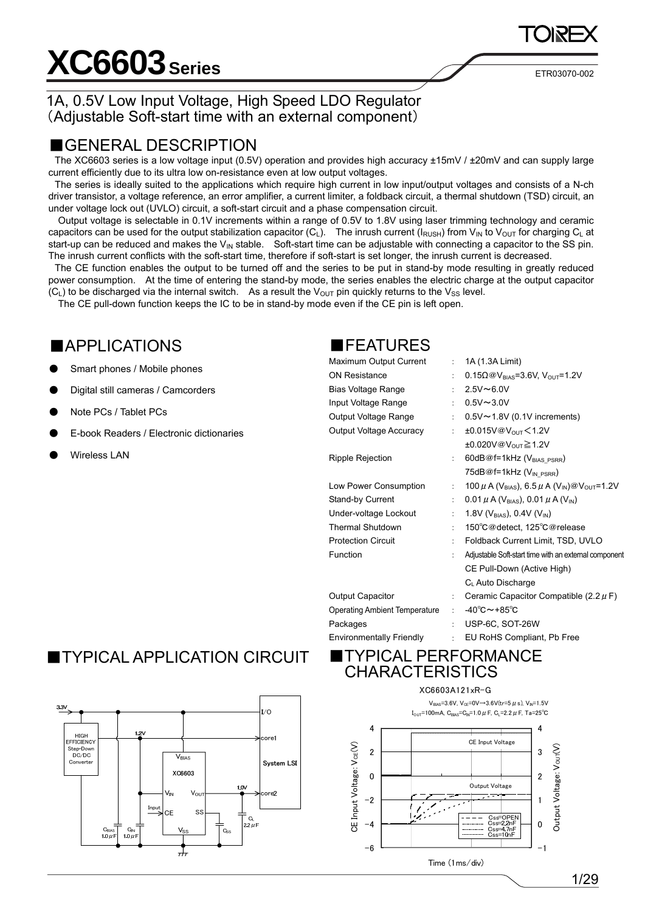# **XC6603** Series **ETRO3070-002**

## 1A, 0.5V Low Input Voltage, High Speed LDO Regulator (Adjustable Soft-start time with an external component)

## ■GENERAL DESCRIPTION

The XC6603 series is a low voltage input (0.5V) operation and provides high accuracy ±15mV / ±20mV and can supply large current efficiently due to its ultra low on-resistance even at low output voltages.

The series is ideally suited to the applications which require high current in low input/output voltages and consists of a N-ch driver transistor, a voltage reference, an error amplifier, a current limiter, a foldback circuit, a thermal shutdown (TSD) circuit, an under voltage lock out (UVLO) circuit, a soft-start circuit and a phase compensation circuit.

Output voltage is selectable in 0.1V increments within a range of 0.5V to 1.8V using laser trimming technology and ceramic capacitors can be used for the output stabilization capacitor (C<sub>L</sub>). The inrush current ( $I_{RUSH}$ ) from V<sub>IN</sub> to V<sub>OUT</sub> for charging C<sub>L</sub> at start-up can be reduced and makes the  $V_{IN}$  stable. Soft-start time can be adjustable with connecting a capacitor to the SS pin. The inrush current conflicts with the soft-start time, therefore if soft-start is set longer, the inrush current is decreased.

The CE function enables the output to be turned off and the series to be put in stand-by mode resulting in greatly reduced power consumption. At the time of entering the stand-by mode, the series enables the electric charge at the output capacitor (C<sub>L</sub>) to be discharged via the internal switch. As a result the V<sub>OUT</sub> pin quickly returns to the V<sub>SS</sub> level.

The CE pull-down function keeps the IC to be in stand-by mode even if the CE pin is left open.

## ■APPLICATIONS ■FEATURES

- Smart phones / Mobile phones
- Digital still cameras / Camcorders
- Note PCs / Tablet PCs
- E-book Readers / Electronic dictionaries
- 

| ●         |                                          | Maximum Output Current               | $\mathcal{L}$ | 1A (1.3A Limit)                                                                         |
|-----------|------------------------------------------|--------------------------------------|---------------|-----------------------------------------------------------------------------------------|
|           | Smart phones / Mobile phones             | <b>ON Resistance</b>                 |               | 0.15 $\Omega$ @V <sub>BIAS</sub> =3.6V, V <sub>OUT</sub> =1.2V                          |
| $\bullet$ | Digital still cameras / Camcorders       | Bias Voltage Range                   | ÷             | $2.5V - 6.0V$                                                                           |
|           |                                          | Input Voltage Range                  | ÷             | $0.5V - 3.0V$                                                                           |
| $\bullet$ | Note PCs / Tablet PCs                    | Output Voltage Range                 |               | $0.5V \sim 1.8V$ (0.1V increments)                                                      |
| ●         | E-book Readers / Electronic dictionaries | Output Voltage Accuracy              | $\mathcal{L}$ | $±0.015V@V_{OUT} < 1.2V$                                                                |
|           |                                          |                                      |               | $\pm 0.020V\text{ @V_{OUT}} \geq 1.2V$                                                  |
| ●         | <b>Wireless LAN</b>                      | Ripple Rejection                     | ÷             | 60dB@f=1kHz (V <sub>BIAS_PSRR</sub> )                                                   |
|           |                                          |                                      |               | 75dB@f=1kHz (V <sub>IN_PSRR</sub> )                                                     |
|           |                                          | Low Power Consumption                | ÷             | 100 $\mu$ A (V <sub>BIAS</sub> ), 6.5 $\mu$ A (V <sub>IN</sub> )@V <sub>OUT</sub> =1.2V |
|           |                                          | Stand-by Current                     |               | 0.01 $\mu$ A (V <sub>BIAS</sub> ), 0.01 $\mu$ A (V <sub>IN</sub> )                      |
|           |                                          | Under-voltage Lockout                |               | 1.8V ( $V_{BIAS}$ ), 0.4V ( $V_{IN}$ )                                                  |
|           |                                          | <b>Thermal Shutdown</b>              |               | 150°C@detect, 125°C@release                                                             |
|           |                                          | <b>Protection Circuit</b>            |               | Foldback Current Limit, TSD, UVLO                                                       |
|           |                                          | <b>Function</b>                      |               | Adjustable Soft-start time with an external component                                   |
|           |                                          |                                      |               | CE Pull-Down (Active High)                                                              |
|           |                                          |                                      |               | C <sub>L</sub> Auto Discharge                                                           |
|           |                                          | <b>Output Capacitor</b>              |               | Ceramic Capacitor Compatible (2.2 $\mu$ F)                                              |
|           |                                          | <b>Operating Ambient Temperature</b> |               | $-40^{\circ}$ C $\sim$ +85 $^{\circ}$ C                                                 |
|           |                                          | Packages                             |               | USP-6C, SOT-26W                                                                         |
|           |                                          | <b>Environmentally Friendly</b>      |               | EU RoHS Compliant, Pb Free                                                              |
|           |                                          |                                      |               |                                                                                         |

# ■TYPICAL APPLICATION CIRCUIT ■TYPICAL PERFORMANCE



# CHARACTERISTICS

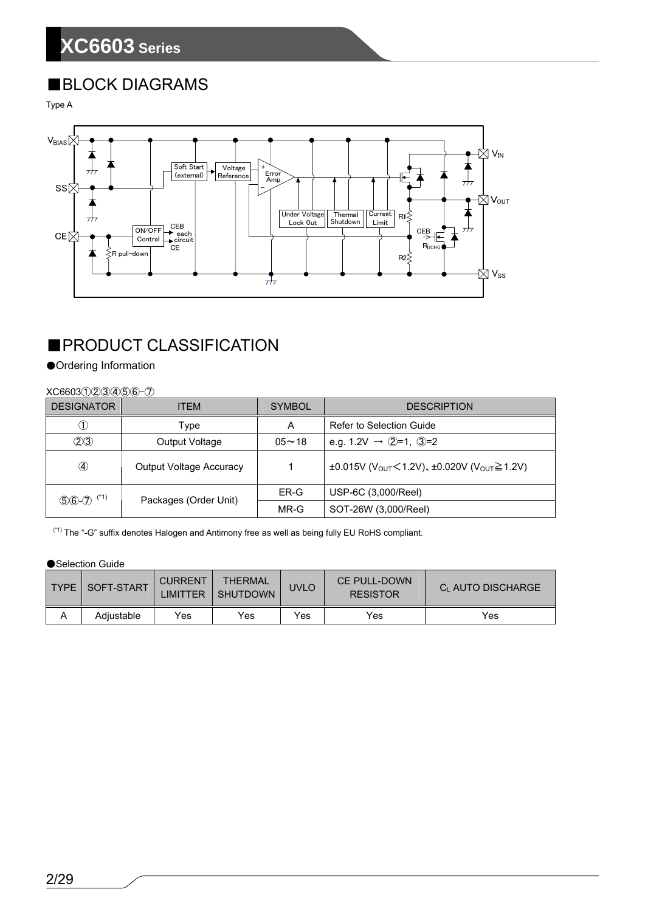# ■BLOCK DIAGRAMS

Type A



# ■PRODUCT CLASSIFICATION

### ●Ordering Information

### XC6603①②③④⑤⑥-⑦

| <b>DESIGNATOR</b> | <b>ITEM</b>                    | <b>SYMBOL</b> | <b>DESCRIPTION</b>                                                                   |
|-------------------|--------------------------------|---------------|--------------------------------------------------------------------------------------|
|                   | Type                           | A             | Refer to Selection Guide                                                             |
| (2)3)             | Output Voltage                 | $05 - 18$     | e.g. 1.2V $\rightarrow$ 2=1, 3=2                                                     |
| ④                 | <b>Output Voltage Accuracy</b> |               | $\pm 0.015V$ (V <sub>OUT</sub> < 1.2V), $\pm 0.020V$ (V <sub>OUT</sub> $\geq 1.2V$ ) |
| $(*1)$<br>$$6-2$  |                                | ER-G          | USP-6C (3,000/Reel)                                                                  |
|                   | Packages (Order Unit)          | MR-G          | SOT-26W (3,000/Reel)                                                                 |

(\*1) The "-G" suffix denotes Halogen and Antimony free as well as being fully EU RoHS compliant.

### ●Selection Guide

| TYPE   SOFT-START | <b>CURRENT</b><br><b>LIMITTER</b> | <b>THERMAL</b><br><b>SHUTDOWN</b> | <b>UVLO</b> | CE PULL-DOWN<br><b>RESISTOR</b> | CL AUTO DISCHARGE |
|-------------------|-----------------------------------|-----------------------------------|-------------|---------------------------------|-------------------|
| Adiustable        | Yes                               | Yes                               | Yes         | Yes                             | Yes               |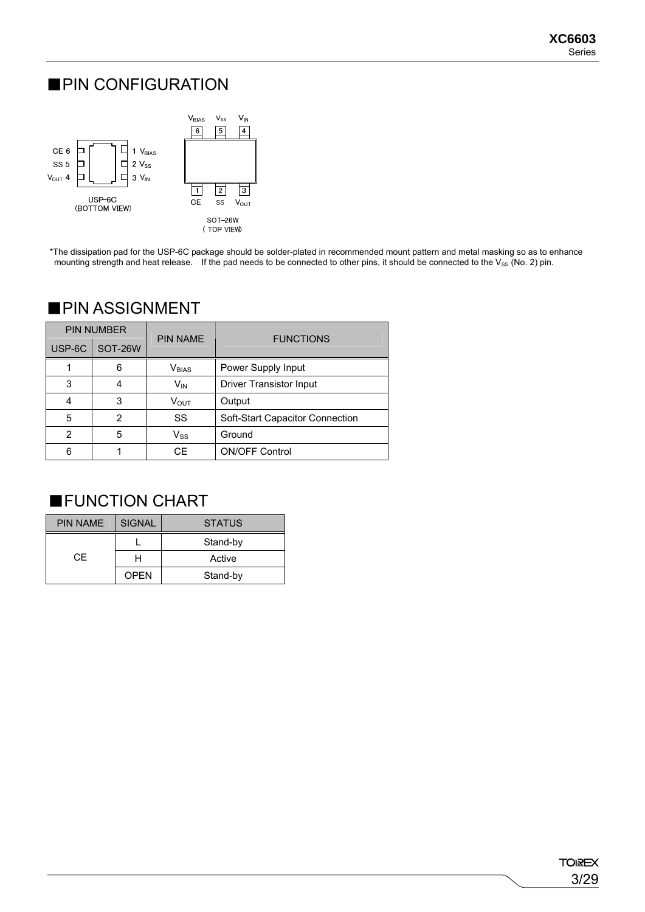# ■PIN CONFIGURATION



\*The dissipation pad for the USP-6C package should be solder-plated in recommended mount pattern and metal masking so as to enhance mounting strength and heat release. If the pad needs to be connected to other pins, it should be connected to the  $V_{SS}$  (No. 2) pin.

|        | <b>PIN NUMBER</b> | <b>PIN NAME</b>            | <b>FUNCTIONS</b>                |  |  |
|--------|-------------------|----------------------------|---------------------------------|--|--|
| USP-6C | SOT-26W           |                            |                                 |  |  |
|        | 6                 | $V_{BIAS}$                 | Power Supply Input              |  |  |
| 3      | 4                 | V <sub>IN</sub>            | <b>Driver Transistor Input</b>  |  |  |
|        | 3                 | Vout                       | Output                          |  |  |
| 5      | $\mathbf{2}$      | SS                         | Soft-Start Capacitor Connection |  |  |
| 2      | 5                 | $\mathsf{V}_{\mathsf{SS}}$ | Ground                          |  |  |
| 6      |                   | СE                         | <b>ON/OFF Control</b>           |  |  |

## ■PIN ASSIGNMENT

# ■FUNCTION CHART

| <b>PIN NAME</b> | <b>SIGNAL</b> | <b>STATUS</b> |  |  |
|-----------------|---------------|---------------|--|--|
|                 |               | Stand-by      |  |  |
| CF.             |               | Active        |  |  |
|                 | <b>OPEN</b>   | Stand-by      |  |  |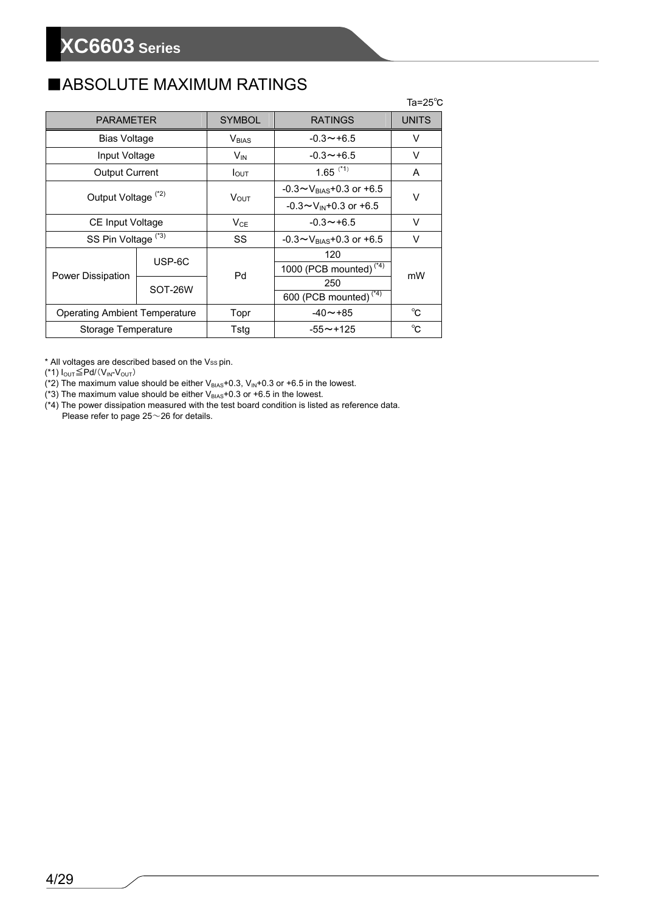# ■ABSOLUTE MAXIMUM RATINGS

|                                      |         |                          |                                      | $Ta = 25^{\circ}C$ |  |
|--------------------------------------|---------|--------------------------|--------------------------------------|--------------------|--|
| <b>PARAMETER</b>                     |         | <b>SYMBOL</b>            | <b>RATINGS</b>                       | <b>UNITS</b>       |  |
| <b>Bias Voltage</b>                  |         | <b>V</b> <sub>BIAS</sub> | $-0.3 \rightarrow +6.5$              | v                  |  |
| Input Voltage                        |         | $V_{IN}$                 | $-0.3 \rightarrow +6.5$              | V                  |  |
| <b>Output Current</b>                |         | $I_{\text{OUT}}$         | $1.65$ <sup>(*1)</sup>               | A                  |  |
| Output Voltage <sup>(*2)</sup>       |         |                          | $-0.3 \sim V_{BIAS} + 0.3$ or $+6.5$ | V                  |  |
|                                      |         | $V_{\text{OUT}}$         | $-0.3 \sim V_{IN} + 0.3$ or $+6.5$   |                    |  |
| <b>CE Input Voltage</b>              |         | $V_{CE}$                 | $-0.3 \rightarrow +6.5$              | $\vee$             |  |
| SS Pin Voltage <sup>(*3)</sup>       |         | SS                       | $-0.3 \sim V_{BIAS} + 0.3$ or $+6.5$ | V                  |  |
|                                      | USP-6C  |                          | 120                                  |                    |  |
|                                      |         | Pd                       | 1000 (PCB mounted) $(4)$             |                    |  |
| Power Dissipation                    | SOT-26W |                          | 250                                  | mW                 |  |
|                                      |         |                          | 600 (PCB mounted) <sup>(*4)</sup>    |                    |  |
| <b>Operating Ambient Temperature</b> |         | Topr                     | $-40 \sim +85$                       | °C                 |  |
| Storage Temperature                  |         | Tstg                     | $-55 \sim +125$                      | °C                 |  |

\* All voltages are described based on the Vss pin.

(\*1)  $I_{\text{OUT}}$  $\leq$ Pd/(V<sub>IN</sub>-V<sub>OUT</sub>)

(\*2) The maximum value should be either  $V_{BIAS}$ +0.3,  $V_{IN}$ +0.3 or +6.5 in the lowest.

(\*3) The maximum value should be either  $V_{BIAS}$ +0.3 or +6.5 in the lowest.

(\*4) The power dissipation measured with the test board condition is listed as reference data. Please refer to page 25~26 for details.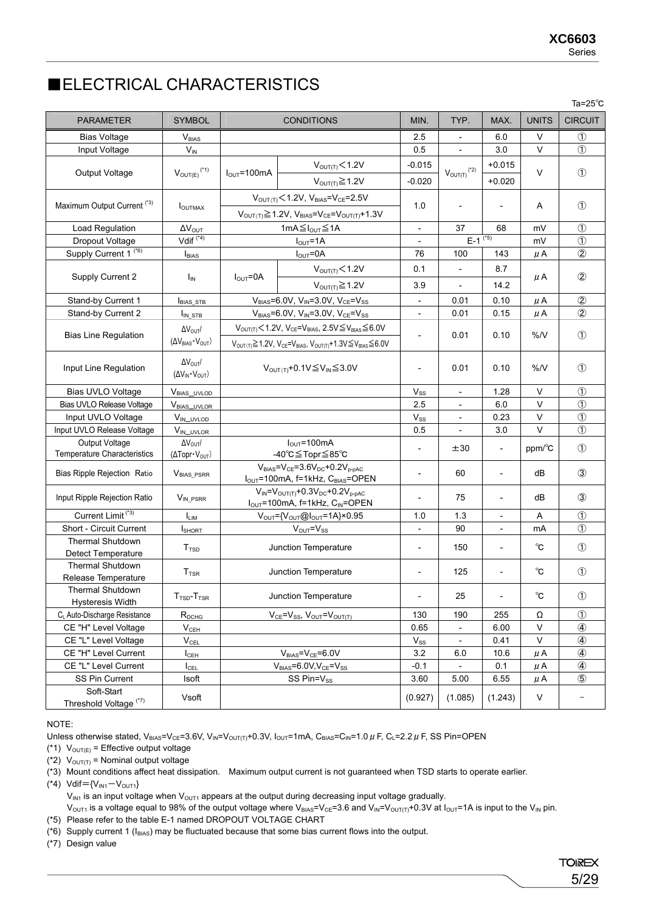# ■ELECTRICAL CHARACTERISTICS

|                                                      |                                                             |                                                           |                                                                                                                               |                            |                          |                          |                        | Ta= $25^{\circ}$ C |
|------------------------------------------------------|-------------------------------------------------------------|-----------------------------------------------------------|-------------------------------------------------------------------------------------------------------------------------------|----------------------------|--------------------------|--------------------------|------------------------|--------------------|
| <b>PARAMETER</b>                                     | <b>SYMBOL</b>                                               |                                                           | <b>CONDITIONS</b>                                                                                                             | MIN.                       | TYP.                     | MAX.                     | <b>UNITS</b>           | <b>CIRCUIT</b>     |
| <b>Bias Voltage</b>                                  | <b>V</b> <sub>BIAS</sub>                                    |                                                           |                                                                                                                               | 2.5                        |                          | 6.0                      | V                      | $^{\circledR}$     |
| Input Voltage                                        | $V_{IN}$                                                    |                                                           |                                                                                                                               | 0.5                        |                          | 3.0                      | $\vee$                 | $\circled{1}$      |
|                                                      |                                                             |                                                           | V <sub>OUT(T)</sub> < 1.2V                                                                                                    | $-0.015$                   |                          | $+0.015$                 |                        |                    |
| Output Voltage                                       | $V_{\text{OUT}(E)}$ (*1)                                    | $IOUT=100mA$                                              | $V_{\text{OUT(T)}} \geq 1.2V$                                                                                                 | $-0.020$                   | $V_{\text{OUT}(T)}$ (*2) | $+0.020$                 | V                      | $\circled{1}$      |
|                                                      |                                                             |                                                           | $V_{OUT(T)}$ < 1.2V, $V_{BIAS}$ = $V_{CE}$ = 2.5V                                                                             |                            |                          |                          |                        |                    |
| Maximum Output Current (*3)                          | I <sub>OUTMAX</sub>                                         |                                                           |                                                                                                                               | 1.0                        | $\overline{\phantom{a}}$ | $\overline{\phantom{a}}$ | Α                      | $\circled{1}$      |
|                                                      |                                                             |                                                           | $V_{OUT(T)} \ge 1.2V$ , $V_{BIAS}=V_{CE}=V_{OUT(T)}+1.3V$                                                                     |                            |                          |                          |                        |                    |
| Load Regulation                                      | $\Delta V_{\text{OUT}}$<br>Vdif $(4)$                       |                                                           | 1mA ≤ I <sub>OUT</sub> ≤ 1A                                                                                                   |                            | 37                       | 68                       | mV                     | $\circled{1}$      |
| Dropout Voltage                                      |                                                             |                                                           | $I_{OUT} = 1A$                                                                                                                |                            | $E-1$ <sup>(*5)</sup>    |                          | mV                     | $\circled{1}$      |
| Supply Current 1 <sup>(*6)</sup>                     | <b>I</b> BIAS                                               |                                                           | $I_{OUT} = 0A$                                                                                                                | 76                         | 100                      | 143                      | μA                     | $^{\circledR}$     |
| Supply Current 2                                     | Ιm                                                          | $I_{\text{OUT}} = 0A$                                     | V <sub>OUT(T)</sub> < 1.2V                                                                                                    | 0.1                        | $\overline{\phantom{a}}$ | 8.7                      | μA                     | $^{\circledR}$     |
|                                                      |                                                             |                                                           | $V_{\text{OUT(T)}} \geq 1.2V$                                                                                                 | 3.9                        |                          | 14.2                     |                        |                    |
| Stand-by Current 1                                   | <b>BIAS_STB</b>                                             |                                                           | $V_{BIAS} = 6.0 V, V_{IN} = 3.0 V, V_{CE} = V_{SS}$                                                                           |                            | 0.01                     | 0.10                     | μA                     | $^{\circ}$         |
| Stand-by Current 2                                   | $I_{IN\_STB}$                                               |                                                           | $V_{BIAS} = 6.0 V, V_{IN} = 3.0 V, V_{CE} = V_{SS}$                                                                           |                            | 0.01                     | 0.15                     | μA                     | $^{\circledR}$     |
|                                                      | $\Delta V_{\text{OUT}}/$                                    |                                                           | $V_{\text{OUT(T)}}$ < 1.2V, $V_{\text{CE}}$ = $V_{\text{BIAS}}$ , 2.5V $\leq$ $V_{\text{BIAS}}$ $\leq$ 6.0V                   |                            |                          |                          | %N                     |                    |
| <b>Bias Line Regulation</b>                          | $(\Delta V_{BIAS} \cdot V_{OUT})$                           |                                                           | $V_{\text{OUT}(T)} \geq 1.2V$ , $V_{\text{CE}} = V_{\text{BIAS}}$ , $V_{\text{OUT}(T)} + 1.3V \leq V_{\text{BIAS}} \leq 6.0V$ |                            | 0.01                     | 0.10                     |                        | $\circled{1}$      |
| Input Line Regulation                                | $\Delta V_{\text{OUT}}/$<br>$(\Delta V_{IN} \cdot V_{OUT})$ | $V_{\text{OUT}}$ +0.1V $\leq$ V <sub>IN</sub> $\leq$ 3.0V |                                                                                                                               | $\overline{\phantom{a}}$   | 0.01                     | 0.10                     | %N                     | $\circled{1}$      |
| Bias UVLO Voltage                                    | $V_{BIAS\_UVLOD}$                                           |                                                           |                                                                                                                               | $V_{SS}$                   | $\qquad \qquad -$        | 1.28                     | V                      | $\circled{1}$      |
| Bias UVLO Release Voltage                            | V <sub>BIAS_UVLOR</sub>                                     |                                                           |                                                                                                                               | 2.5                        |                          | 6.0                      | V                      | $\circled{1}$      |
| Input UVLO Voltage                                   | $V_{IN\_UVLOD}$                                             |                                                           |                                                                                                                               | $V_{SS}$                   |                          | 0.23                     | V                      | $\circled{1}$      |
| Input UVLO Release Voltage                           | VIN_UVLOR                                                   |                                                           |                                                                                                                               | 0.5                        |                          | 3.0                      | V                      | $\circled{1}$      |
| Output Voltage                                       | $\Delta V_{\text{OUT}}/$                                    |                                                           | $I_{\text{OUT}} = 100 \text{mA}$                                                                                              | $\overline{\phantom{a}}$   | ±30                      | $\overline{\phantom{a}}$ | $ppm$ <sup>o</sup> $C$ | $\circled{1}$      |
| Temperature Characteristics                          | $(\Delta \text{Topr} \cdot V_{\text{OUT}})$                 |                                                           | -40℃≦Topr≦85℃                                                                                                                 |                            |                          |                          |                        |                    |
| Bias Ripple Rejection Ratio                          | <b>VBIAS PSRR</b>                                           |                                                           | $V_{BIAS} = V_{CE} = 3.6V_{DC} + 0.2V_{p-pAC}$<br>$I_{OUT}$ =100mA, f=1kHz, $C_{BIAS}$ =OPEN                                  |                            | 60                       | $\overline{\phantom{a}}$ | dВ                     | $\circled{3}$      |
| Input Ripple Rejection Ratio                         | VIN PSRR                                                    |                                                           | $V_{IN} = V_{OUT(T)} + 0.3V_{DC} + 0.2V_{P-DAC}$<br>$I_{OUT}$ =100mA, f=1kHz, $C_{IN}$ =OPEN                                  |                            | 75                       | $\overline{\phantom{a}}$ | dВ                     | $\circled{3}$      |
| Current Limit <sup>(*3)</sup>                        | $I_{LIM}$                                                   |                                                           | $V_{\text{OUT}} = \{V_{\text{OUT}}@I_{\text{OUT}}=1A\} \times 0.95$                                                           | 1.0                        | 1.3                      | $\overline{\phantom{a}}$ | Α                      | $\circled{1}$      |
| Short - Circuit Current                              | <b>I</b> SHORT                                              |                                                           | $V_{\text{OUT}} = V_{SS}$                                                                                                     | $\overline{\phantom{a}}$   | 90                       | $\overline{\phantom{a}}$ | mA                     | $\circled{1}$      |
| <b>Thermal Shutdown</b><br><b>Detect Temperature</b> | T <sub>TSD</sub>                                            |                                                           | Junction Temperature                                                                                                          | $\overline{a}$             | 150                      | $\blacksquare$           | $^{\circ}$ C           | $\circled{1}$      |
| Thermal Shutdown<br>Release Temperature              | $\mathsf{T}_\mathsf{TSR}$                                   |                                                           | Junction Temperature                                                                                                          | $\overline{\phantom{a}}$   | 125                      | $\overline{a}$           | $^{\circ}$ C           | $\circled{1}$      |
| Thermal Shutdown<br><b>Hysteresis Width</b>          | $TTSD-TTSR$                                                 |                                                           | Junction Temperature                                                                                                          | $\overline{\phantom{0}}$   | 25                       | $\blacksquare$           | $^{\circ}$ C           | $\circled{1}$      |
| CL Auto-Discharge Resistance                         | $R_{DCHG}$                                                  | $V_{CE} = V_{SS}$ , $V_{OUT} = V_{OUT(T)}$                |                                                                                                                               | 130                        | 190                      | 255                      | Ω                      | $\circled{1}$      |
| CE "H" Level Voltage                                 | $V_{CEH}$                                                   |                                                           |                                                                                                                               | 0.65                       | $\overline{\phantom{a}}$ | 6.00                     | $\mathsf V$            | 4                  |
| CE "L" Level Voltage                                 | $V_{\text{CEL}}$                                            |                                                           |                                                                                                                               | $\mathsf{V}_{\mathsf{SS}}$ | $\blacksquare$           | 0.41                     | $\sf V$                | $\circledA$        |
| CE "H" Level Current                                 | $I_{\text{CEH}}$                                            | $V_{BIAS} = V_{CE} = 6.0V$                                |                                                                                                                               | 3.2                        | 6.0                      | 10.6                     | $\mu$ A                | $\circledA$        |
| CE "L" Level Current                                 | $I_{\text{CEL}}$                                            |                                                           | $V_{BIAS} = 6.0 V, V_{CE} = V_{SS}$                                                                                           | $-0.1$                     | $\blacksquare$           | 0.1                      | $\mu$ A                | $^{\circledR}$     |
| SS Pin Current                                       | Isoft                                                       |                                                           | SS Pin=Vss                                                                                                                    | 3.60                       | 5.00                     | 6.55                     | $\mu$ A                | $\circledS$        |
| Soft-Start<br>Threshold Voltage (*7)                 | Vsoft                                                       |                                                           |                                                                                                                               | (0.927)                    | (1.085)                  | (1.243)                  | V                      |                    |

NOTE:

Unless otherwise stated, V<sub>BIAS</sub>=V<sub>CE</sub>=3.6V, V<sub>IN</sub>=V<sub>OUT(T)</sub>+0.3V, I<sub>OUT</sub>=1mA, C<sub>BIAS</sub>=C<sub>IN</sub>=1.0  $\mu$  F, C<sub>L</sub>=2.2  $\mu$  F, SS Pin=OPEN

(\*1)  $V_{OUT(E)}$  = Effective output voltage

(\*2)  $V_{\text{OUT}(T)}$  = Nominal output voltage

(\*3) Mount conditions affect heat dissipation. Maximum output current is not guaranteed when TSD starts to operate earlier.

(\*4)  $Vdif = {V_{IN1}-V_{OUT1}}$ 

 $V_{\text{OUT1}}$  is a voltage equal to 98% of the output voltage where  $V_{\text{BIAS}}=V_{\text{CE}}=3.6$  and  $V_{\text{IN}}=V_{\text{OUT1}}+0.3V$  at  $I_{\text{OUT}}=1$ A is input to the  $V_{\text{IN}}$  pin.

(\*5) Please refer to the table E-1 named DROPOUT VOLTAGE CHART

( $*6$ ) Supply current 1 ( $I_{BIAS}$ ) may be fluctuated because that some bias current flows into the output.

(\*7) Design value

 $V_{IN1}$  is an input voltage when  $V_{OUT1}$  appears at the output during decreasing input voltage gradually.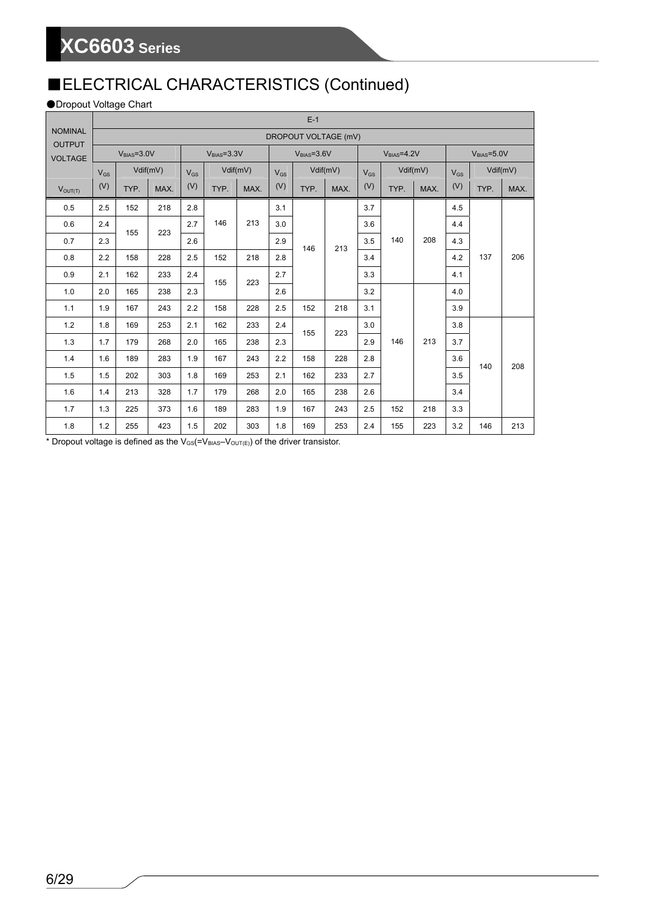# ■ELECTRICAL CHARACTERISTICS (Continued)

## ●Dropout Voltage Chart

|                                 | $E-1$    |                      |          |          |              |            |          |              |           |          |              |           |          |              |          |  |
|---------------------------------|----------|----------------------|----------|----------|--------------|------------|----------|--------------|-----------|----------|--------------|-----------|----------|--------------|----------|--|
| <b>NOMINAL</b><br><b>OUTPUT</b> |          | DROPOUT VOLTAGE (mV) |          |          |              |            |          |              |           |          |              |           |          |              |          |  |
| <b>VOLTAGE</b>                  |          | $VRIAS=3.0V$         |          |          | $VBIAS=3.3V$ |            |          | $VBIAS=3.6V$ |           |          | $VBIAS=4.2V$ |           |          | $VBIAS=5.0V$ |          |  |
|                                 | $V_{GS}$ |                      | Vdif(mV) | $V_{GS}$ |              | Vdiff(mV)  | $V_{GS}$ |              | Vdiff(mV) | $V_{GS}$ |              | Vdiff(mV) | $V_{GS}$ |              | Vdif(mV) |  |
| $V_{OUT(T)}$                    | (V)      | TYP.                 | MAX.     | (V)      | TYP.         | MAX.       | (V)      | TYP.         | MAX.      | (V)      | TYP.         | MAX.      | (V)      | TYP.         | MAX.     |  |
| 0.5                             | 2.5      | 152                  | 218      | 2.8      |              |            | 3.1      |              |           | 3.7      |              |           | 4.5      |              |          |  |
| 0.6                             | 2.4      | 155                  | 223      | 2.7      | 146          | 213        | 3.0      |              |           | 3.6      |              |           | 4.4      |              |          |  |
| 0.7                             | 2.3      |                      |          | 2.6      |              |            | 2.9      | 146          | 213       | 3.5      | 140          | 208       | 4.3      |              |          |  |
| 0.8                             | 2.2      | 158                  | 228      | 2.5      | 152          | 218        | 2.8      |              |           | 3.4      |              |           | 4.2      | 137          | 206      |  |
| 0.9                             | 2.1      | 162                  | 233      | 2.4      |              | 155<br>223 | 2.7      |              |           | 3.3      |              |           | 4.1      | 140          |          |  |
| 1.0                             | 2.0      | 165                  | 238      | 2.3      |              |            | 2.6      |              |           | 3.2      |              |           | 4.0      |              |          |  |
| 1.1                             | 1.9      | 167                  | 243      | 2.2      | 158          | 228        | 2.5      | 152          | 218       | 3.1      |              | 213       | 3.9      |              |          |  |
| 1.2                             | 1.8      | 169                  | 253      | 2.1      | 162          | 233        | 2.4      | 155          | 223       | 3.0      |              |           | 3.8      |              | 208      |  |
| 1.3                             | 1.7      | 179                  | 268      | 2.0      | 165          | 238        | 2.3      |              |           | 2.9      | 146          |           | 3.7      |              |          |  |
| 1.4                             | 1.6      | 189                  | 283      | 1.9      | 167          | 243        | 2.2      | 158          | 228       | 2.8      |              |           | 3.6      |              |          |  |
| 1.5                             | 1.5      | 202                  | 303      | 1.8      | 169          | 253        | 2.1      | 162          | 233       | 2.7      |              |           | 3.5      |              |          |  |
| 1.6                             | 1.4      | 213                  | 328      | 1.7      | 179          | 268        | 2.0      | 165          | 238       | 2.6      |              |           | 3.4      |              |          |  |
| 1.7                             | 1.3      | 225                  | 373      | 1.6      | 189          | 283        | 1.9      | 167          | 243       | 2.5      | 152          | 218       | 3.3      |              |          |  |
| 1.8                             | 1.2      | 255                  | 423      | 1.5      | 202          | 303        | 1.8      | 169          | 253       | 2.4      | 155          | 223       | 3.2      | 146          | 213      |  |

\* Dropout voltage is defined as the  $V_{GS}$ (= $V_{BIAS}-V_{OUT(E)}$ ) of the driver transistor.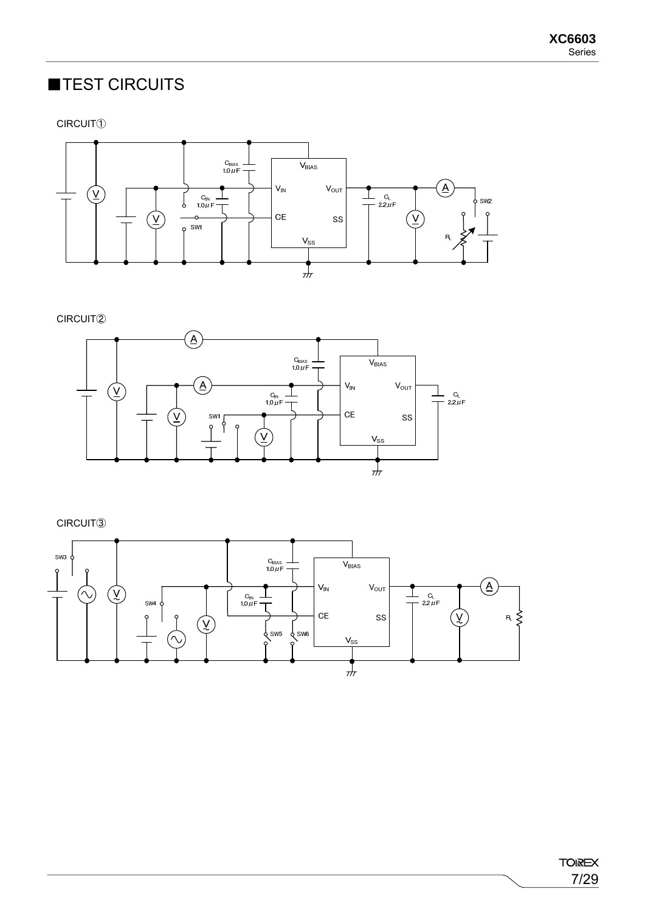# ■TEST CIRCUITS

CIRCUIT①



CIRCUIT②



CIRCUIT③

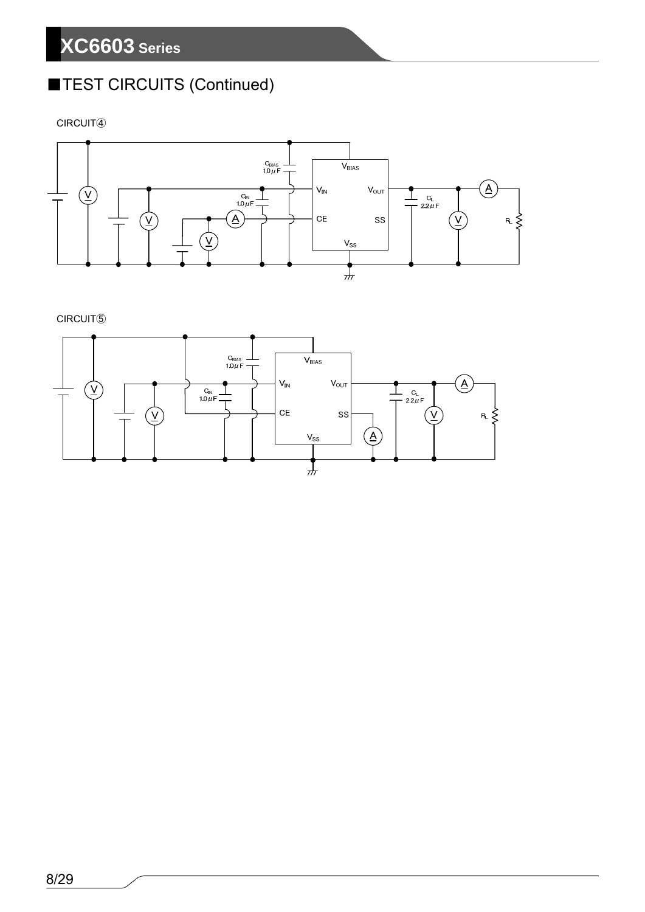# ■TEST CIRCUITS (Continued)

CIRCUIT④



CIRCUIT⑤

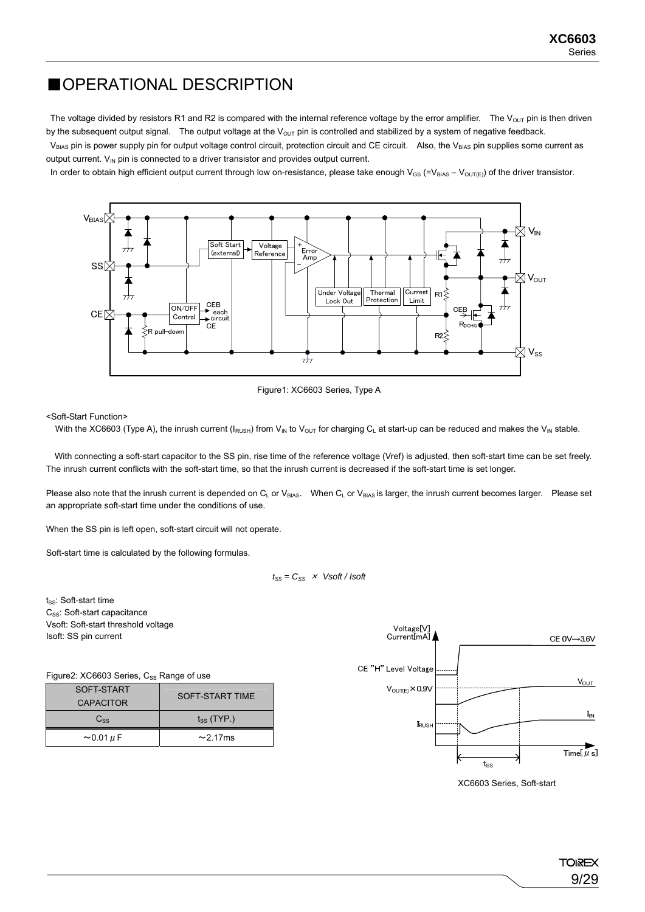# ■OPERATIONAL DESCRIPTION

The voltage divided by resistors R1 and R2 is compared with the internal reference voltage by the error amplifier. The V<sub>OUT</sub> pin is then driven by the subsequent output signal. The output voltage at the  $V_{\text{OUT}}$  pin is controlled and stabilized by a system of negative feedback.

 $V_{BIAS}$  pin is power supply pin for output voltage control circuit, protection circuit and CE circuit. Also, the V<sub>BIAS</sub> pin supplies some current as output current.  $V_{IN}$  pin is connected to a driver transistor and provides output current.

In order to obtain high efficient output current through low on-resistance, please take enough  $V_{GS}$  (=V<sub>BIAS</sub> – V<sub>OUT(E)</sub>) of the driver transistor.



Figure1: XC6603 Series, Type A

<Soft-Start Function>

With the XC6603 (Type A), the inrush current ( $I_{RUSH}$ ) from  $V_{IN}$  to  $V_{OUT}$  for charging  $C_L$  at start-up can be reduced and makes the  $V_{IN}$  stable.

With connecting a soft-start capacitor to the SS pin, rise time of the reference voltage (Vref) is adjusted, then soft-start time can be set freely. The inrush current conflicts with the soft-start time, so that the inrush current is decreased if the soft-start time is set longer.

Please also note that the inrush current is depended on  $C_L$  or  $V_{BIAS}$ . When  $C_L$  or  $V_{BAS}$  is larger, the inrush current becomes larger. Please set an appropriate soft-start time under the conditions of use.

When the SS pin is left open, soft-start circuit will not operate.

Soft-start time is calculated by the following formulas.

 $t_{SS} = C_{SS} \times V$ soft / *Isoft* 

 $t_{SS}$ : Soft-start time C<sub>SS</sub>: Soft-start capacitance Vsoft: Soft-start threshold voltage Isoft: SS pin current

Figure2: XC6603 Series, Css Range of use

| ---                 |                        |  |
|---------------------|------------------------|--|
| SOFT-START          | <b>SOFT-START TIME</b> |  |
| <b>CAPACITOR</b>    |                        |  |
| $C_{SS}$            | $t_{SS}$ (TYP.)        |  |
| $\sim$ 0.01 $\mu$ F | $\sim$ 2.17 ms         |  |



XC6603 Series, Soft-start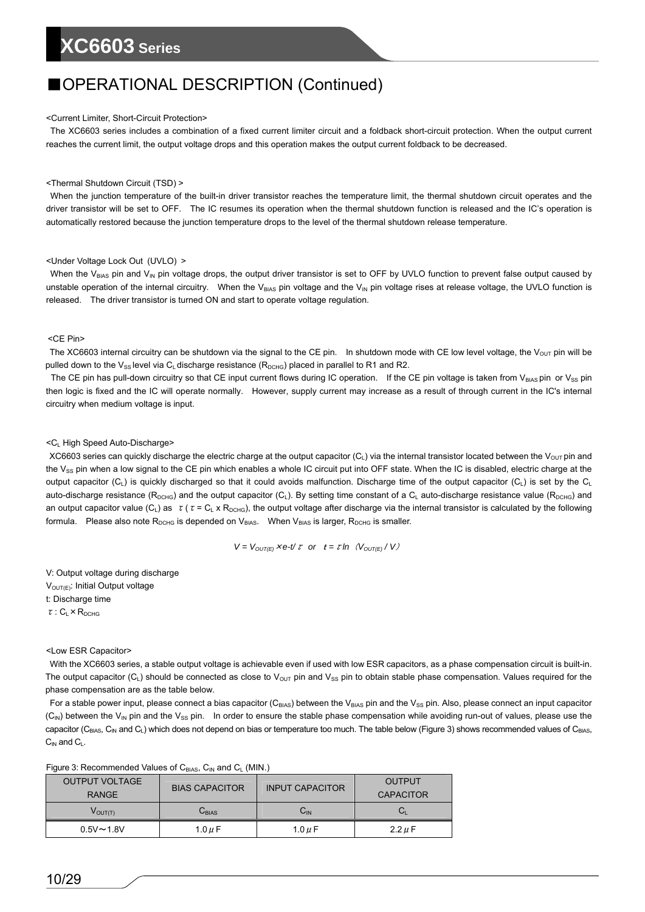# ■OPERATIONAL DESCRIPTION (Continued)

### <Current Limiter, Short-Circuit Protection>

The XC6603 series includes a combination of a fixed current limiter circuit and a foldback short-circuit protection. When the output current reaches the current limit, the output voltage drops and this operation makes the output current foldback to be decreased.

### <Thermal Shutdown Circuit (TSD) >

When the junction temperature of the built-in driver transistor reaches the temperature limit, the thermal shutdown circuit operates and the driver transistor will be set to OFF. The IC resumes its operation when the thermal shutdown function is released and the IC's operation is automatically restored because the junction temperature drops to the level of the thermal shutdown release temperature.

### <Under Voltage Lock Out (UVLO) >

When the V<sub>BIAS</sub> pin and V<sub>IN</sub> pin voltage drops, the output driver transistor is set to OFF by UVLO function to prevent false output caused by unstable operation of the internal circuitry. When the V<sub>BIAS</sub> pin voltage and the V<sub>IN</sub> pin voltage rises at release voltage, the UVLO function is released. The driver transistor is turned ON and start to operate voltage regulation.

### <CE Pin>

The XC6603 internal circuitry can be shutdown via the signal to the CE pin. In shutdown mode with CE low level voltage, the  $V_{\text{OUT}}$  pin will be pulled down to the V<sub>SS</sub> level via C<sub>L</sub> discharge resistance ( $R_{DCHG}$ ) placed in parallel to R1 and R2.

The CE pin has pull-down circuitry so that CE input current flows during IC operation. If the CE pin voltage is taken from V<sub>BIAS</sub> pin or V<sub>SS</sub> pin then logic is fixed and the IC will operate normally. However, supply current may increase as a result of through current in the IC's internal circuitry when medium voltage is input.

### <CL High Speed Auto-Discharge>

XC6603 series can quickly discharge the electric charge at the output capacitor  $(C_L)$  via the internal transistor located between the V<sub>OUT</sub> pin and the V<sub>SS</sub> pin when a low signal to the CE pin which enables a whole IC circuit put into OFF state. When the IC is disabled, electric charge at the output capacitor (C<sub>L</sub>) is quickly discharged so that it could avoids malfunction. Discharge time of the output capacitor (C<sub>L</sub>) is set by the C<sub>L</sub> auto-discharge resistance ( $R_{DCHG}$ ) and the output capacitor (C<sub>L</sub>). By setting time constant of a C<sub>L</sub> auto-discharge resistance value ( $R_{DCHG}$ ) and an output capacitor value (C<sub>L</sub>) as  $\tau$  ( $\tau$  = C<sub>L</sub> x R<sub>DCHG</sub>), the output voltage after discharge via the internal transistor is calculated by the following formula. Please also note  $R_{DCHG}$  is depended on  $V_{BIAS}$ . When  $V_{BIAS}$  is larger,  $R_{DCHG}$  is smaller.

$$
V = V_{OUT(E)} \times e^{-t/\tau}
$$
 or  $t = \tau \ln (V_{OUT(E)}/V)$ 

V: Output voltage during discharge  $V<sub>OUT(E)</sub>: Initial Output voltage$ t: Discharge time τ: CL×RDCHG

### <Low ESR Capacitor>

With the XC6603 series, a stable output voltage is achievable even if used with low ESR capacitors, as a phase compensation circuit is built-in. The output capacitor  $(C_L)$  should be connected as close to V<sub>OUT</sub> pin and V<sub>SS</sub> pin to obtain stable phase compensation. Values required for the phase compensation are as the table below.

For a stable power input, please connect a bias capacitor ( $C_{BAS}$ ) between the V<sub>BIAS</sub> pin and the V<sub>SS</sub> pin. Also, please connect an input capacitor  $(C_{IN})$  between the V<sub>IN</sub> pin and the V<sub>SS</sub> pin. In order to ensure the stable phase compensation while avoiding run-out of values, please use the capacitor (C<sub>BIAS</sub>, C<sub>IN</sub> and C<sub>L</sub>) which does not depend on bias or temperature too much. The table below (Figure 3) shows recommended values of C<sub>BIAS</sub>,  $C<sub>IN</sub>$  and  $C<sub>L</sub>$ .

| <b>OUTPUT VOLTAGE</b><br><b>RANGE</b> | <b>BIAS CAPACITOR</b> | <b>INPUT CAPACITOR</b>     | OUTPUT<br>CAPACITOR |
|---------------------------------------|-----------------------|----------------------------|---------------------|
| $V_{\text{OUT(T)}}$                   | $C_{\rm BIAS}$        | $\mathsf{C}_{\mathsf{IN}}$ | ◡                   |
| $0.5V \sim 1.8V$                      | 1.0 $\mu$ F           | 1.0 $\mu$ F                | $2.2 \mu F$         |

Figure 3: Recommended Values of CBIAS, CIN and CL (MIN.)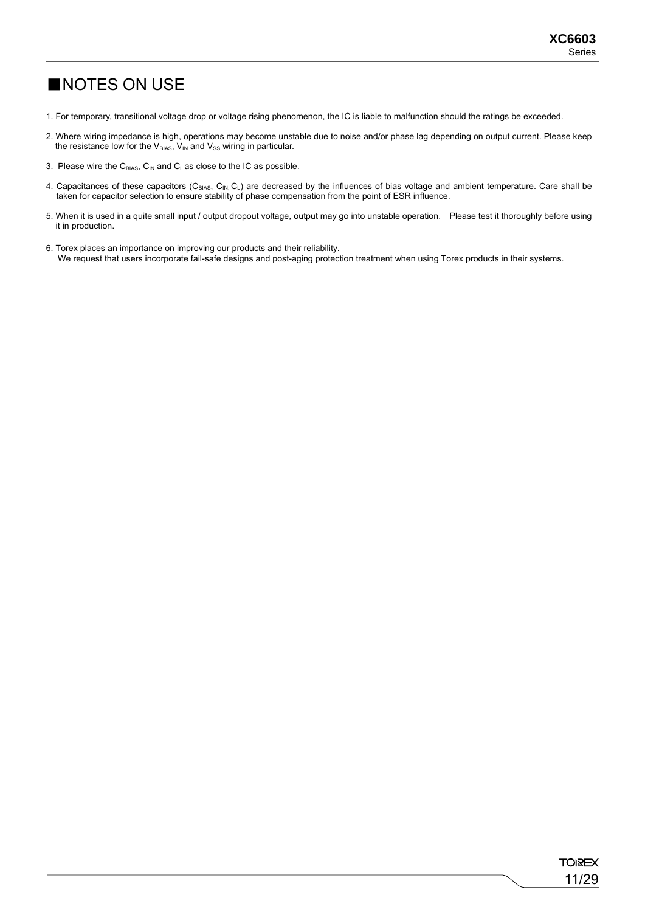# ■NOTES ON USE

- 1. For temporary, transitional voltage drop or voltage rising phenomenon, the IC is liable to malfunction should the ratings be exceeded.
- 2. Where wiring impedance is high, operations may become unstable due to noise and/or phase lag depending on output current. Please keep the resistance low for the  $V_{BIAS}$ ,  $V_{IN}$  and  $V_{SS}$  wiring in particular.
- 3. Please wire the  $C_{BIAS}$ ,  $C_{IN}$  and  $C_L$  as close to the IC as possible.
- 4. Capacitances of these capacitors (C<sub>BIAS</sub>, C<sub>IN,</sub> C<sub>L</sub>) are decreased by the influences of bias voltage and ambient temperature. Care shall be taken for capacitor selection to ensure stability of phase compensation from the point of ESR influence.
- 5. When it is used in a quite small input / output dropout voltage, output may go into unstable operation. Please test it thoroughly before using it in production.
- 6. Torex places an importance on improving our products and their reliability. We request that users incorporate fail-safe designs and post-aging protection treatment when using Torex products in their systems.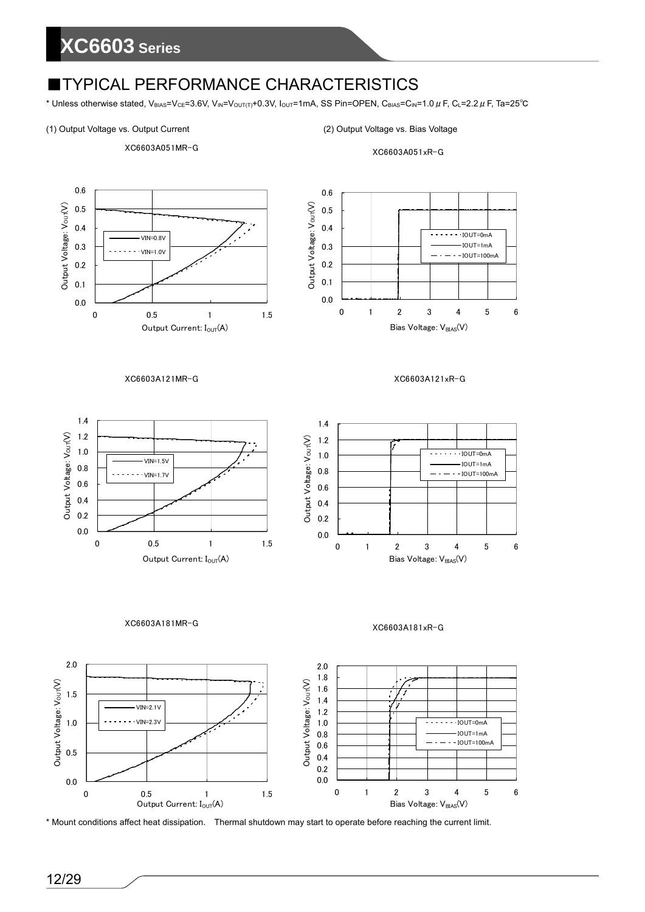# ■TYPICAL PERFORMANCE CHARACTERISTICS

\* Unless otherwise stated, V<sub>BIAS</sub>=V<sub>CE</sub>=3.6V, V<sub>IN</sub>=V<sub>OUT(T)</sub>+0.3V, I<sub>OUT</sub>=1mA, SS Pin=OPEN, C<sub>BIAS</sub>=C<sub>IN</sub>=1.0  $\mu$  F, C<sub>L</sub>=2.2  $\mu$  F, Ta=25°C

### (1) Output Voltage vs. Output Current (2) Output Voltage vs. Bias Voltage



XC6603A051xR-G



\* Mount conditions affect heat dissipation. Thermal shutdown may start to operate before reaching the current limit.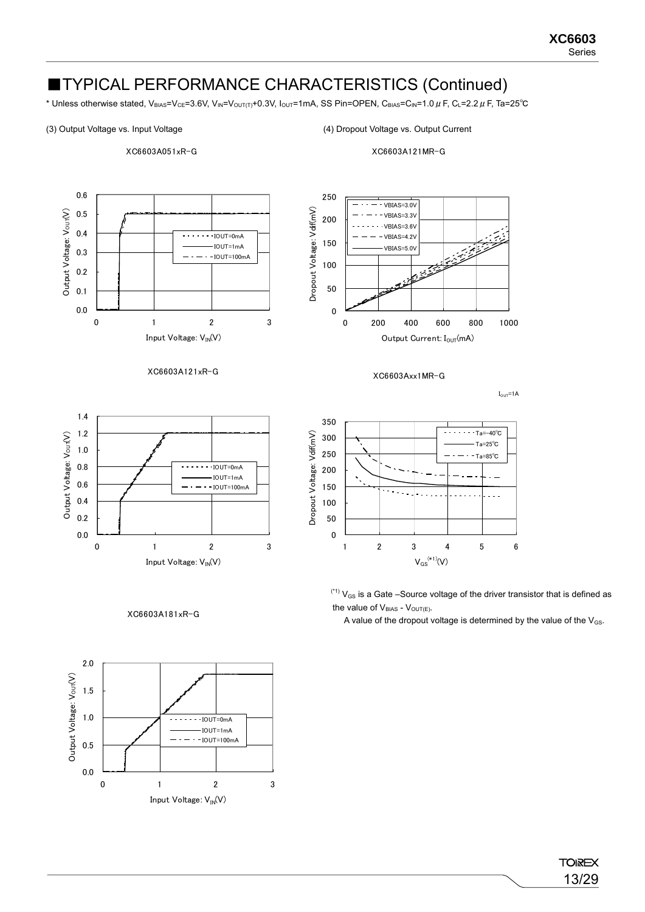\* Unless otherwise stated, V<sub>BIAS</sub>=V<sub>CE</sub>=3.6V, V<sub>IN</sub>=V<sub>OUT(T)</sub>+0.3V, I<sub>OUT</sub>=1mA, SS Pin=OPEN, C<sub>BIAS</sub>=C<sub>IN</sub>=1.0 µ F, C<sub>L</sub>=2.2 µ F, Ta=25<sup>°</sup>C

200

250

### (3) Output Voltage vs. Input Voltage (4) Dropout Voltage vs. Output Current

 $-$  VBIAS=3.0V VBIAS=3.3V VBIAS=3.6V VBIAS=4.2V

XC6603A051xR-G

XC6603A121MR-G



XC6603A121xR-G



XC6603A181xR-G





 $(1)$   $V_{GS}$  is a Gate –Source voltage of the driver transistor that is defined as the value of  $V_{BIAS}$  -  $V_{OUT(E)}$ .

A value of the dropout voltage is determined by the value of the  $V_{GS}$ .



**TOIREX** 13/29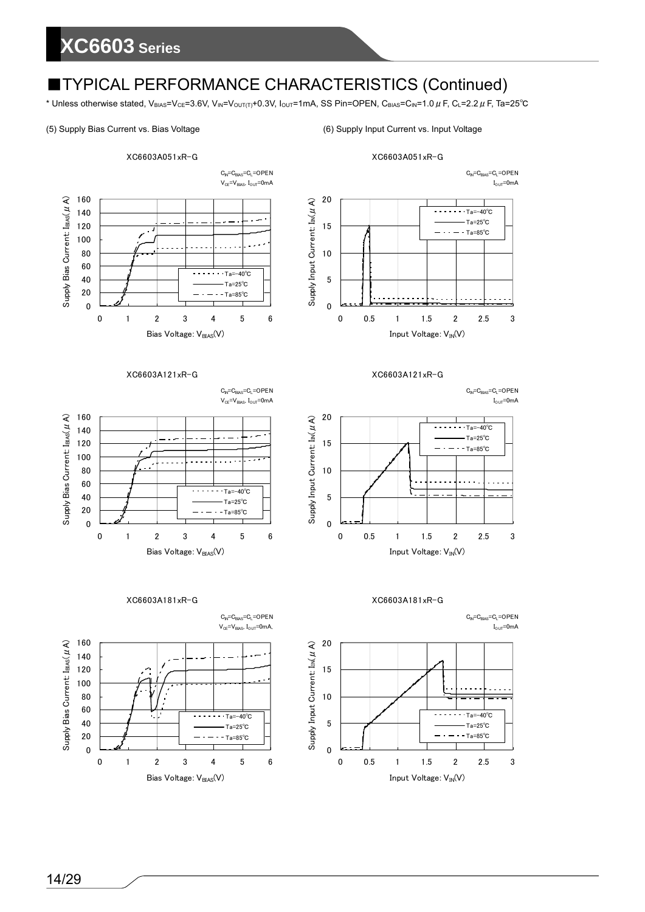\* Unless otherwise stated, V<sub>BIAS</sub>=V<sub>CE</sub>=3.6V, V<sub>IN</sub>=V<sub>OUT(T)</sub>+0.3V, I<sub>OUT</sub>=1mA, SS Pin=OPEN, C<sub>BIAS</sub>=C<sub>IN</sub>=1.0  $\mu$  F, C<sub>L</sub>=2.2  $\mu$  F, Ta=25°C

### (5) Supply Bias Current vs. Bias Voltage (6) Supply Input Current vs. Input Voltage



XC6603A051xR-G



### XC6603A121xR-G

 $C<sub>IN</sub>=C<sub>BIAS</sub>=C<sub>L</sub>=OPEN$  $I_{\text{OUT}}$ =0mA



XC6603A181xR-G

 $V_{CE} = V_{BIAS}$ ,  $I_{OUT} = 0$ mA 160 Supply Bias Current:  $I_{\text{BAS}}(\mu \text{ A})$ Supply Bias Current: I<sub>BIAS</sub>(μA) 140 د د 120 100 80 60  $T_a=-40^\circ C$ 40 Ta=25℃ 20 Ta=85℃  $\overline{0}$ 0123456 Bias Voltage: V<sub>BIAS</sub>(V)

XC6603A121xR-G





 $C_{IN} = C_{BIAS} = C_L = OPEN$  $V_{CE} = V_{BIAS}$ ,  $I_{OUT} = 0$ mA,

 $C_N = C_{\text{BIAS}} = C_L = \text{OPEN}$ 

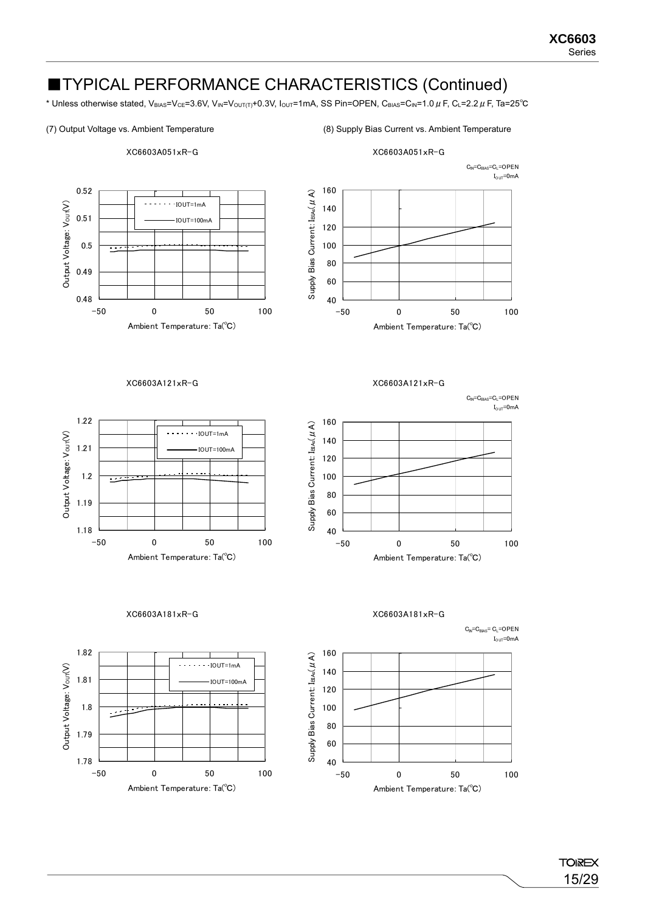\* Unless otherwise stated, V<sub>BIAS</sub>=V<sub>CE</sub>=3.6V, V<sub>IN</sub>=V<sub>OUT(T)</sub>+0.3V, I<sub>OUT</sub>=1mA, SS Pin=OPEN, C<sub>BIAS</sub>=C<sub>IN</sub>=1.0 µ F, C<sub>L</sub>=2.2 µ F, Ta=25<sup>°</sup>C

### (7) Output Voltage vs. Ambient Temperature (8) Supply Bias Current vs. Ambient Temperature

Ambient Temperature: Ta(℃)



Ambient Temperature: Ta(℃)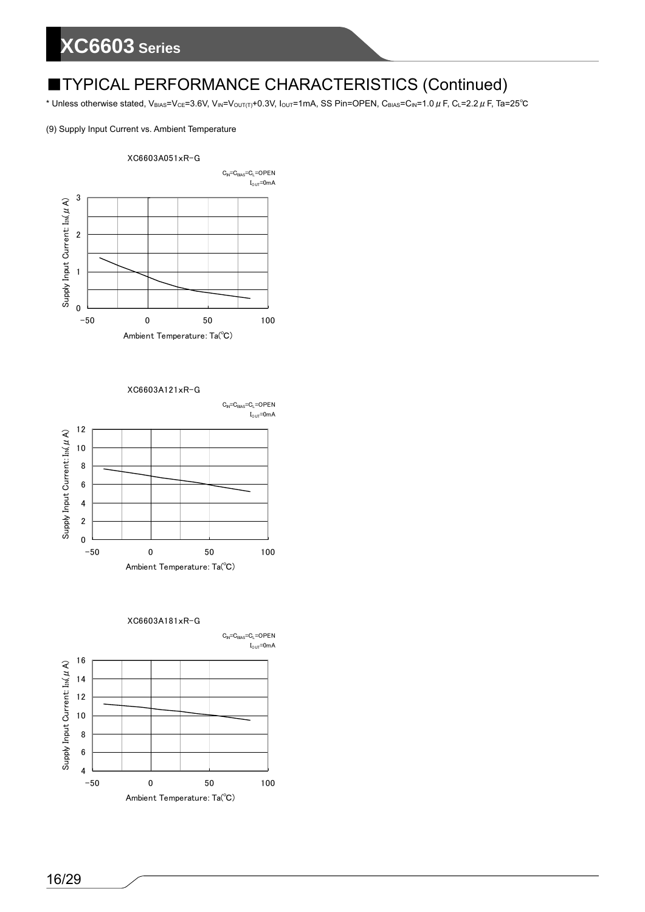# ■TYPICAL PERFORMANCE CHARACTERISTICS (Continued)

\* Unless otherwise stated, V<sub>BIAS</sub>=V<sub>CE</sub>=3.6V, V<sub>IN</sub>=V<sub>OUT(T)</sub>+0.3V, I<sub>OUT</sub>=1mA, SS Pin=OPEN, C<sub>BIAS</sub>=C<sub>IN</sub>=1.0  $\mu$  F, C<sub>L</sub>=2.2  $\mu$  F, Ta=25°C

(9) Supply Input Current vs. Ambient Temperature



XC6603A121xR-G



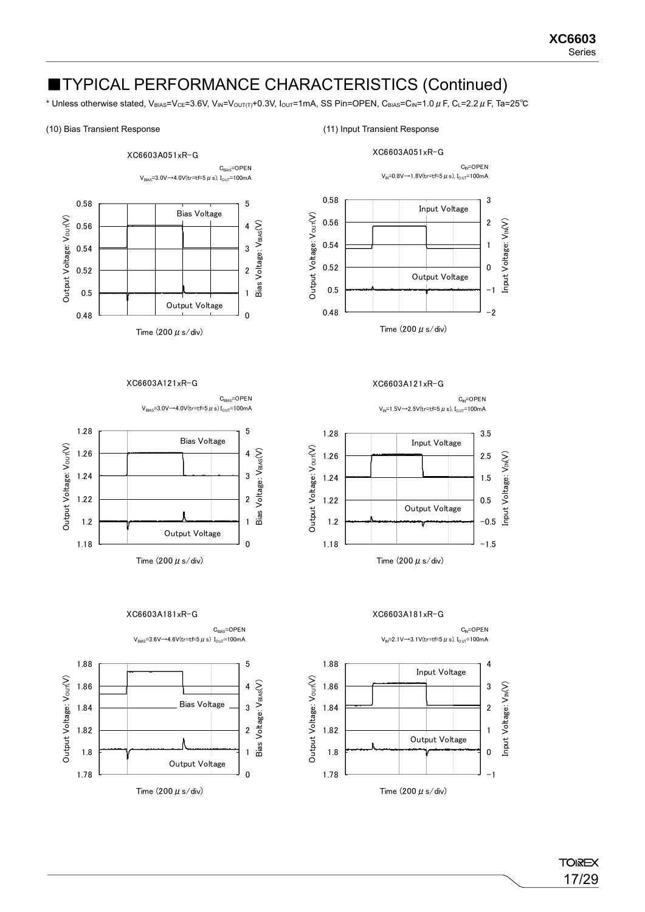\* Unless otherwise stated, V<sub>BIAS</sub>=V<sub>CE</sub>=3.6V, V<sub>IN</sub>=V<sub>OUT(T)</sub>+0.3V, I<sub>OUT</sub>=1mA, SS Pin=OPEN, C<sub>BIAS</sub>=C<sub>IN</sub>=1.0 µ F, C<sub>L</sub>=2.2 µ F, Ta=25<sup>°</sup>C

### (10) Bias Transient Response (11) Input Transient Response

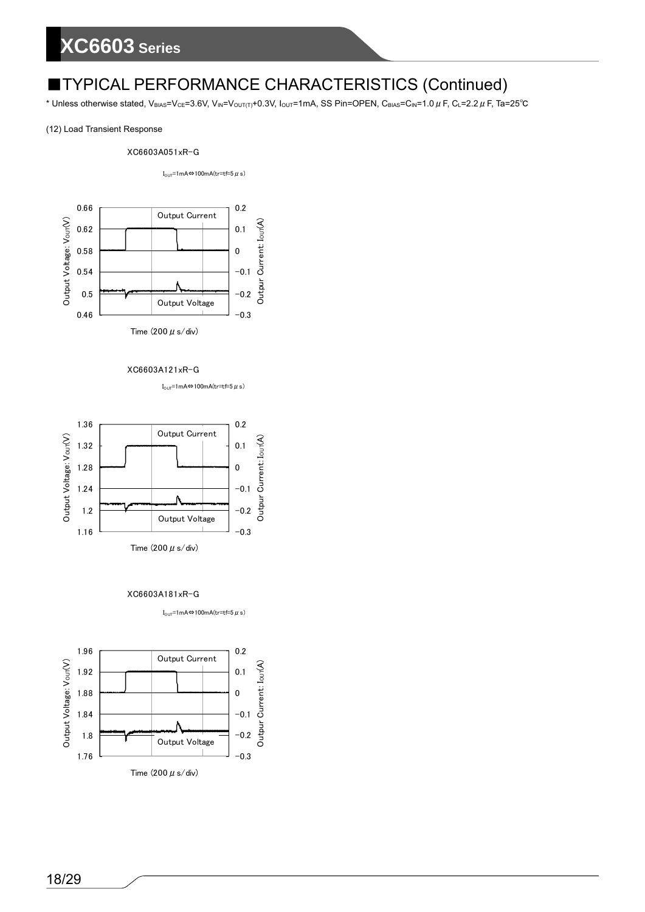\* Unless otherwise stated, V<sub>BIAS</sub>=V<sub>CE</sub>=3.6V, V<sub>IN</sub>=V<sub>OUT(T)</sub>+0.3V, I<sub>OUT</sub>=1mA, SS Pin=OPEN, C<sub>BIAS</sub>=C<sub>IN</sub>=1.0  $\mu$  F, C<sub>L</sub>=2.2  $\mu$  F, Ta=25°C

### (12) Load Transient Response

### XC6603A051xR-G

I<sub>OUT</sub>=1mA⇔100mA(tr=tf=5 $\mu$ s)



Time (200  $\mu$  s/div)

XC6603A121xR-G

 $I_{\text{OUT}}$ =1mA⇔100mA(tr=tf=5  $\mu$  s)



XC6603A181xR-G



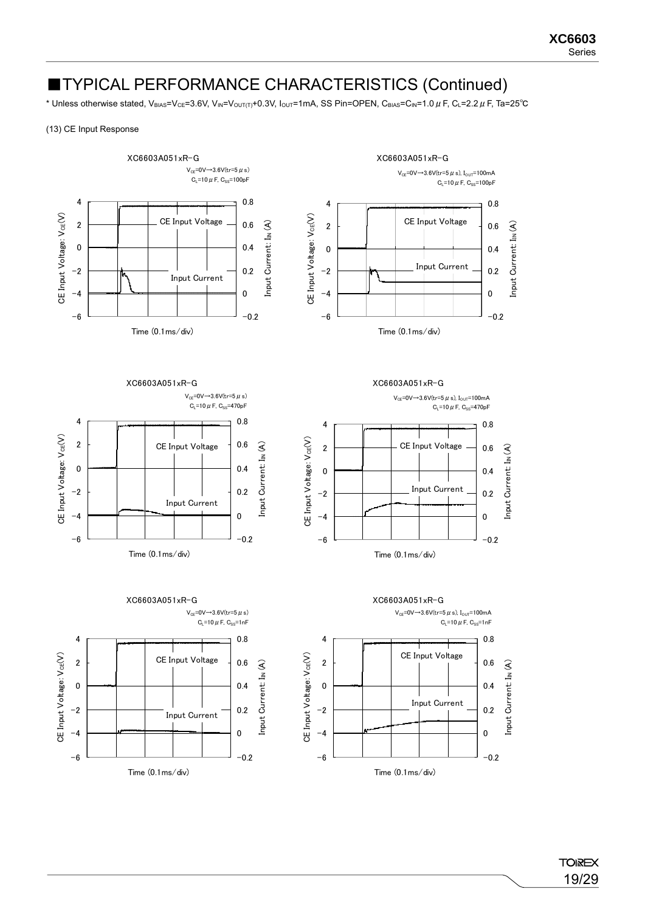\* Unless otherwise stated, V<sub>BIAS</sub>=V<sub>CE</sub>=3.6V, V<sub>IN</sub>=V<sub>OUT(T)</sub>+0.3V, I<sub>OUT</sub>=1mA, SS Pin=OPEN, C<sub>BIAS</sub>=C<sub>IN</sub>=1.0 µF, C<sub>L</sub>=2.2 µF, Ta=25<sup>°</sup>C

### (13) CE Input Response

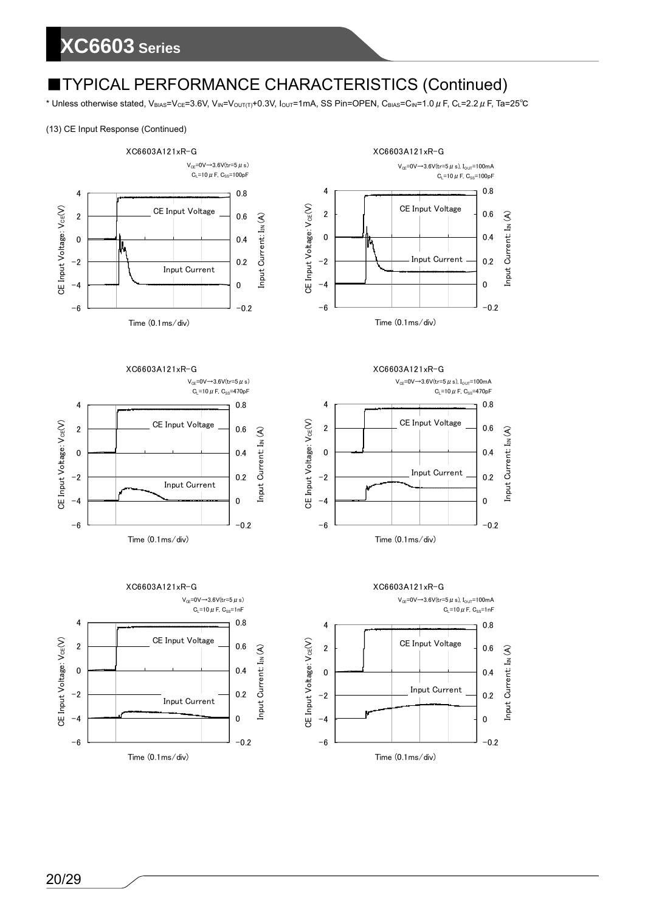\* Unless otherwise stated, V<sub>BIAS</sub>=V<sub>CE</sub>=3.6V, V<sub>IN</sub>=V<sub>OUT(T)</sub>+0.3V, I<sub>OUT</sub>=1mA, SS Pin=OPEN, C<sub>BIAS</sub>=C<sub>IN</sub>=1.0  $\mu$  F, C<sub>L</sub>=2.2  $\mu$  F, Ta=25°C

### (13) CE Input Response (Continued)



XC6603A121xR-G









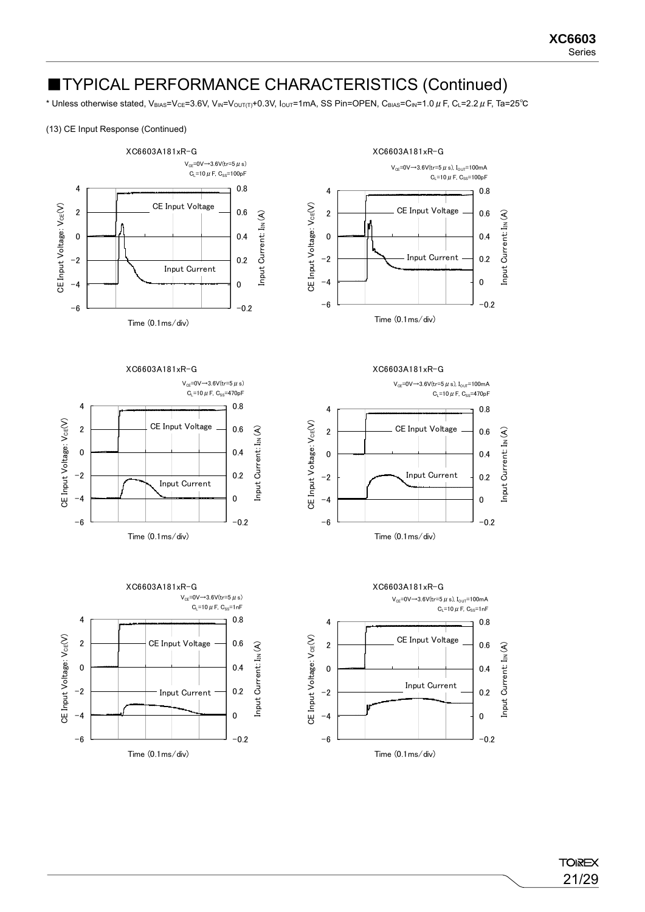\* Unless otherwise stated, V<sub>BIAS</sub>=V<sub>CE</sub>=3.6V, V<sub>IN</sub>=V<sub>OUT(T)</sub>+0.3V, I<sub>OUT</sub>=1mA, SS Pin=OPEN, C<sub>BIAS</sub>=C<sub>IN</sub>=1.0 µ F, C<sub>L</sub>=2.2 µ F, Ta=25<sup>°</sup>C

### (13) CE Input Response (Continued)



XC6603A181xR-G









XC6603A181xR-G

 $V_{\text{or}}=0 \vee 3.6 \vee (tr=5 \text{ }\mu \text{ s}), L_{\text{over}}=100 \text{ mA}$  $C_1 = 10 \mu F$ ,  $C_{SS} = 470pF$ 



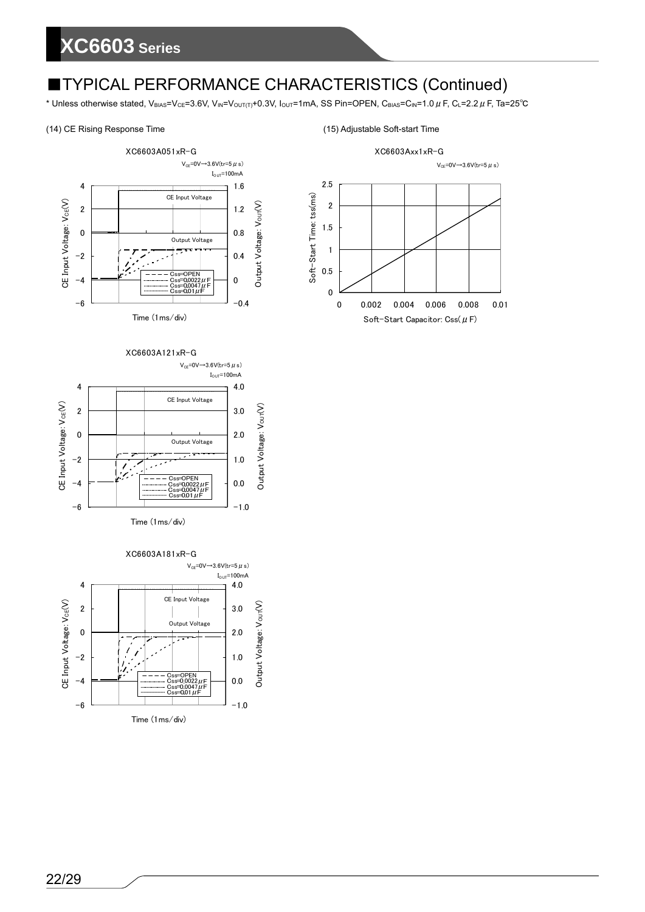\* Unless otherwise stated, V<sub>BIAS</sub>=V<sub>CE</sub>=3.6V, V<sub>IN</sub>=V<sub>OUT(T)</sub>+0.3V, I<sub>OUT</sub>=1mA, SS Pin=OPEN, C<sub>BIAS</sub>=C<sub>IN</sub>=1.0  $\mu$  F, C<sub>L</sub>=2.2  $\mu$  F, Ta=25°C











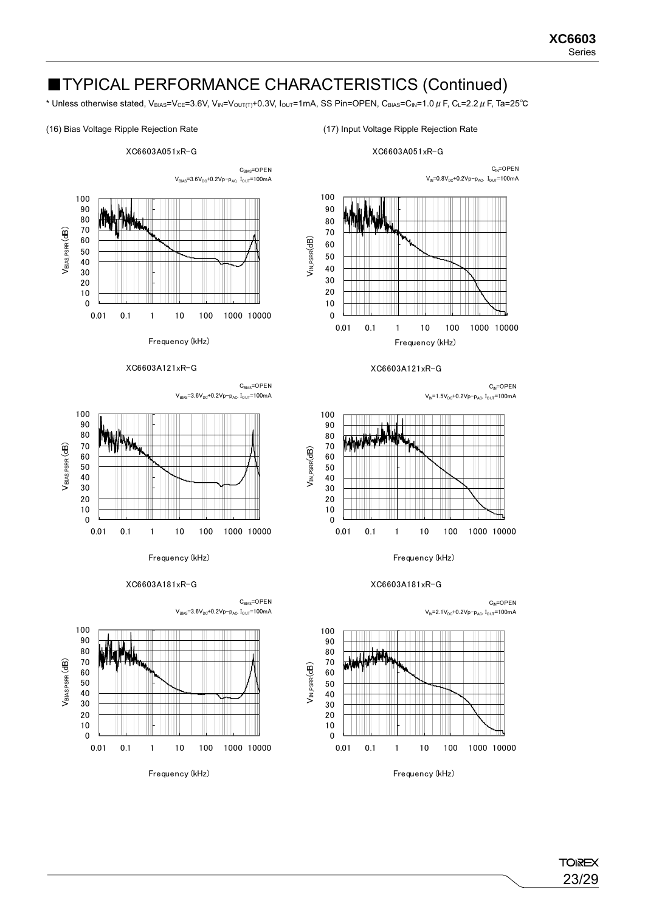\* Unless otherwise stated, V<sub>BIAS</sub>=V<sub>CE</sub>=3.6V, V<sub>IN</sub>=V<sub>OUT(T)</sub>+0.3V, I<sub>OUT</sub>=1mA, SS Pin=OPEN, C<sub>BIAS</sub>=C<sub>IN</sub>=1.0 µ F, C<sub>L</sub>=2.2 µ F, Ta=25<sup>°</sup>C

### (16) Bias Voltage Ripple Rejection Rate (17) Input Voltage Ripple Rejection Rate



XC6603A051xR-G

Frequency (kHz)







XC6603A181xR-G







XC6603A121xR-G

 $C_{IN} = OPEN$  $V_{\text{IN}}=1.5V_{\text{DC}}+0.2V_{\text{P}}-p_{\text{AC}}$ ,  $I_{\text{OUT}}=100\text{mA}$ 



### XC6603A181xR-G



V<sub>IN PSRR</sub>(dB)

 $V_{IN,PSRR}$  $dB)$ 

Frequency (kHz)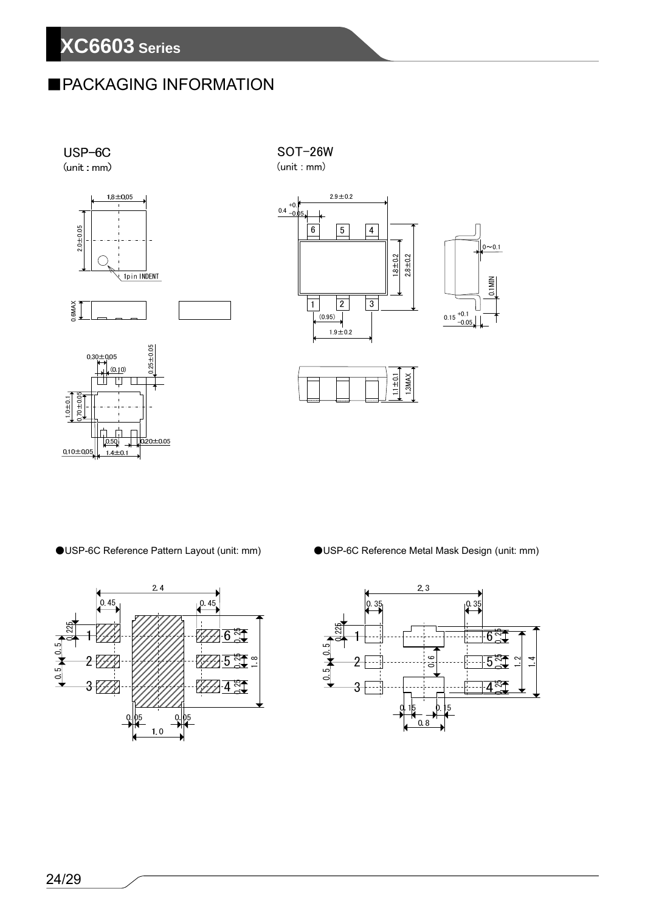# ■PACKAGING INFORMATION



 $\Gamma$  $\Gamma$  $\frac{1}{2}$  0.20±0.05

 $1.4 \pm 0.1$ 

 $0.50$ 

 $0.10 + 0.05$ 

SOT-26W (unit : mm)









●USP-6C Reference Pattern Layout (unit: mm) ●USP-6C Reference Metal Mask Design (unit: mm)

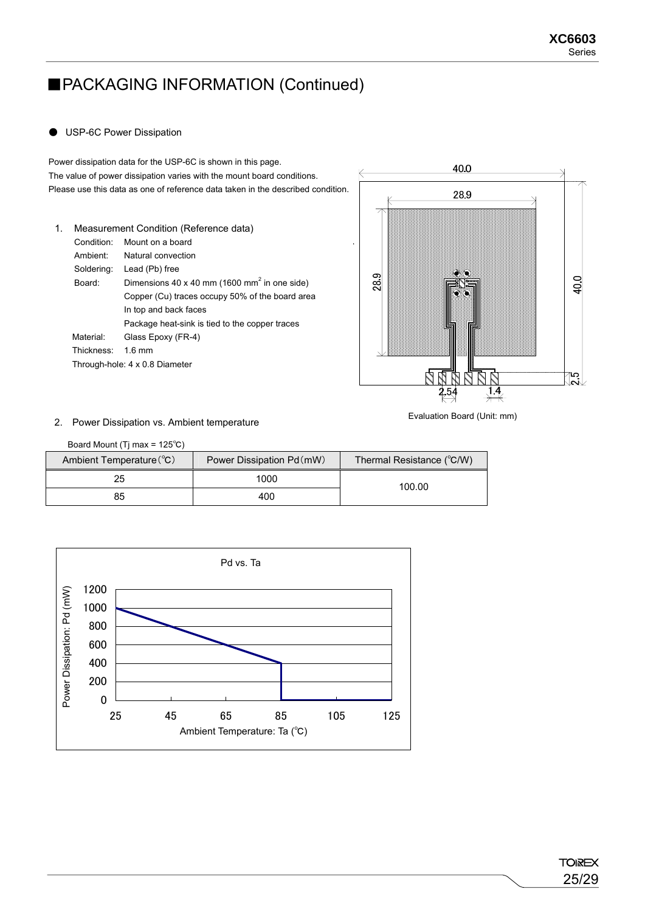# ■PACKAGING INFORMATION (Continued)

### ● USP-6C Power Dissipation

Power dissipation data for the USP-6C is shown in this page. The value of power dissipation varies with the mount board conditions. Please use this data as one of reference data taken in the described condition.

1. Measurement Condition (Reference data) Condition: Mount on a board Ambient: Natural convection Soldering: Lead (Pb) free Board: Dimensions 40 x 40 mm (1600 mm<sup>2</sup> in one side) Copper (Cu) traces occupy 50% of the board area In top and back faces Package heat-sink is tied to the copper traces Material: Glass Epoxy (FR-4) Thickness: 1.6 mm Through-hole: 4 x 0.8 Diameter



2. Power Dissipation vs. Ambient temperature

Evaluation Board (Unit: mm)

| Board Mount (Tj max = $125^{\circ}$ C) |                           |                           |  |
|----------------------------------------|---------------------------|---------------------------|--|
| Ambient Temperature (°C)               | Power Dissipation Pd (mW) | Thermal Resistance (°C/W) |  |
| 25                                     | 1000                      | 100.00                    |  |
| 85                                     | 400                       |                           |  |

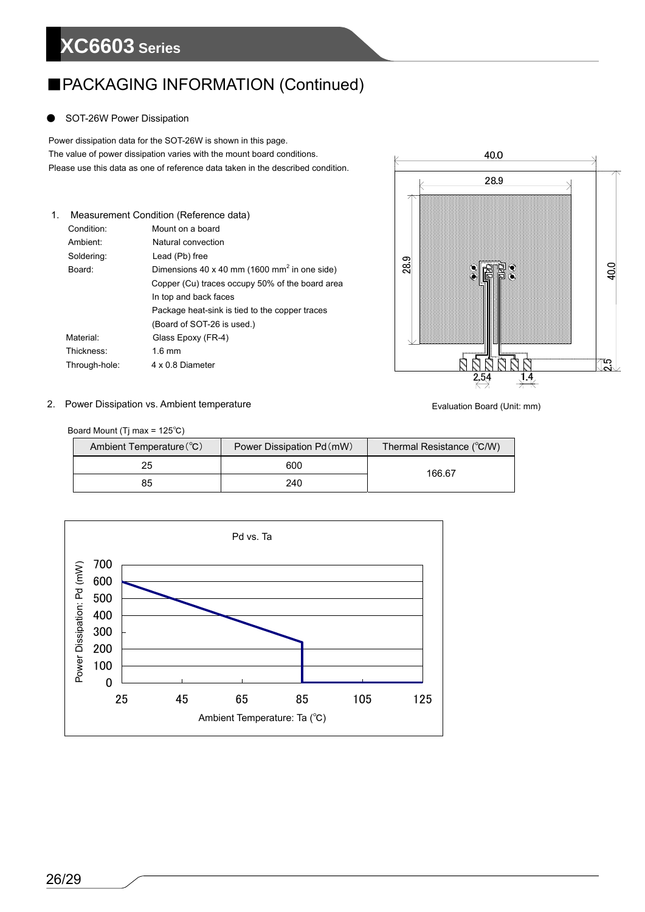# ■PACKAGING INFORMATION (Continued)

### SOT-26W Power Dissipation

 Power dissipation data for the SOT-26W is shown in this page. The value of power dissipation varies with the mount board conditions.<br>Please use this data as one of reference data taken in the described condition. The value of power dissipation varies with the mount board conditions.

| 1. |               | Measurement Condition (Reference data)                   |
|----|---------------|----------------------------------------------------------|
|    | Condition:    | Mount on a board                                         |
|    | Ambient:      | Natural convection                                       |
|    | Soldering:    | Lead (Pb) free                                           |
|    | Board:        | Dimensions 40 x 40 mm (1600 mm <sup>2</sup> in one side) |
|    |               | Copper (Cu) traces occupy 50% of the board area          |
|    |               | In top and back faces                                    |
|    |               | Package heat-sink is tied to the copper traces           |
|    |               | (Board of SOT-26 is used.)                               |
|    | Material:     | Glass Epoxy (FR-4)                                       |
|    | Thickness:    | $1.6 \text{ mm}$                                         |
|    | Through-hole: | 4 x 0 8 Diameter                                         |



### 2. Power Dissipation vs. Ambient temperature

Evaluation Board (Unit: mm)

Board Mount (Tj max = 125℃)

| Ambient Temperature (°C) | Power Dissipation Pd (mW) | Thermal Resistance (°C/W) |  |
|--------------------------|---------------------------|---------------------------|--|
| 25                       | 600                       | 166.67                    |  |
| 85                       | 240                       |                           |  |

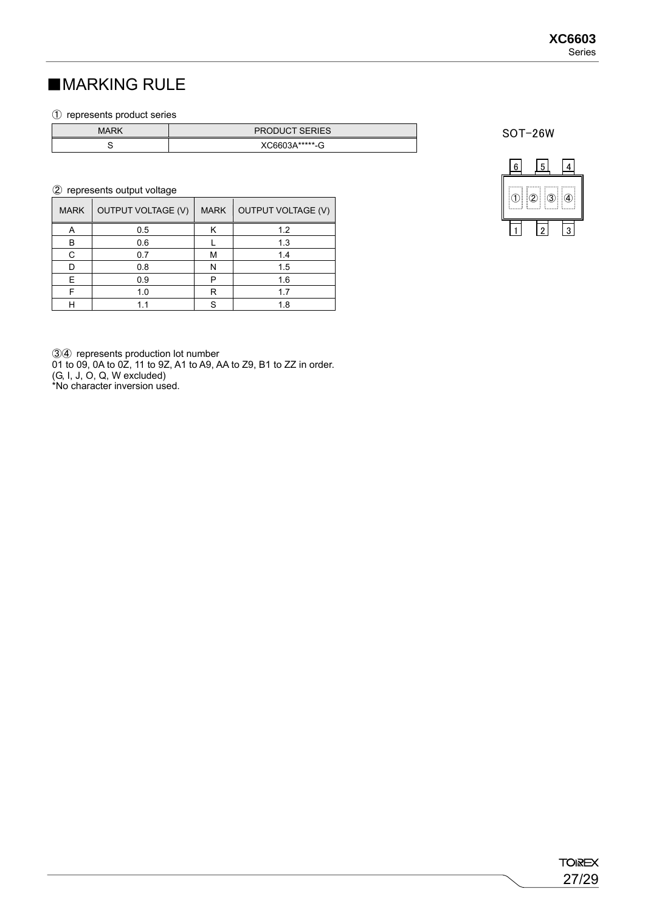# ■MARKING RULE

### ① represents product series

| <b>MARK</b> | <b>PRODUCT SERIES</b> |
|-------------|-----------------------|
|             | XC6603A******-G<br>ت- |

### ② represents output voltage

| <b>MARK</b> | <b>OUTPUT VOLTAGE (V)</b> | <b>MARK</b> | OUTPUT VOLTAGE (V) |
|-------------|---------------------------|-------------|--------------------|
| Α           | 0.5                       |             | 1.2                |
| B           | 0.6                       |             | 1.3                |
| C           | 0.7                       | М           | 1.4                |
|             | 0.8                       | N           | 1.5                |
| F           | 0.9                       | D           | 1.6                |
|             | 1.0                       | R           | 17                 |
|             | 11                        | S           | 1.8                |

③④ represents production lot number 01 to 09, 0A to 0Z, 11 to 9Z, A1 to A9, AA to Z9, B1 to ZZ in order. (G, I, J, O, Q, W excluded)

\*No character inversion used.

SOT-26W

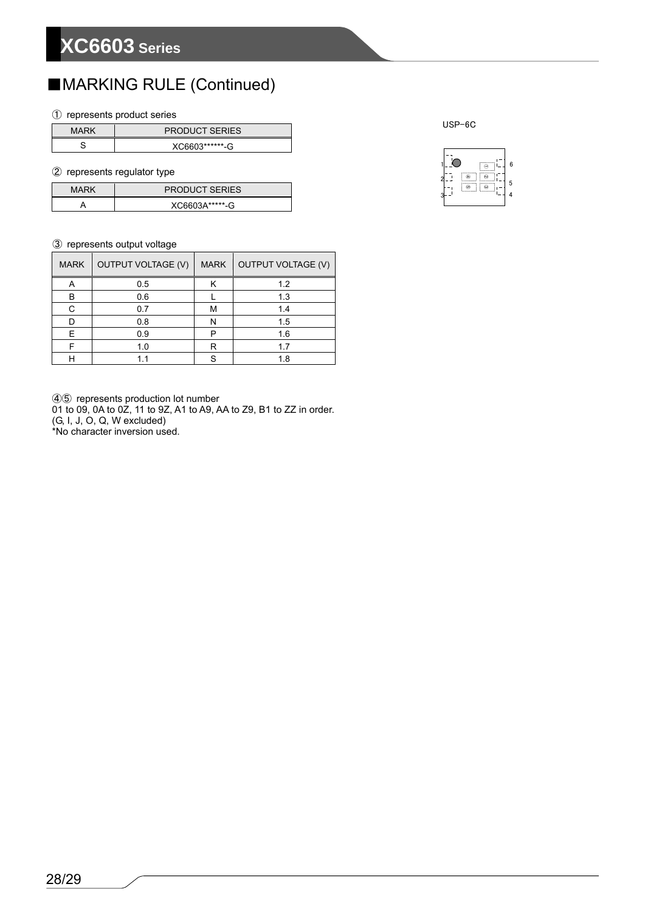# ■MARKING RULE (Continued)

### ① represents product series

| MARK | <b>PRODUCT SERIES</b> |  |
|------|-----------------------|--|
|      | XC6603*******-G       |  |

### ② represents regulator type

| <b>PRODUCT SERIES</b><br><b>MARK</b> |                   |
|--------------------------------------|-------------------|
|                                      | $X$ C6603A*****-G |

### ③ represents output voltage

| <b>MARK</b> | <b>OUTPUT VOLTAGE (V)</b> | <b>MARK</b> | <b>OUTPUT VOLTAGE (V)</b> |
|-------------|---------------------------|-------------|---------------------------|
| Α           | 0.5                       | Κ           | 1.2                       |
| в           | 0.6                       |             | 1.3                       |
| C           | 0.7                       | М           | 1.4                       |
|             | 0.8                       | N           | 1.5                       |
| E.          | 0.9                       | P           | 1.6                       |
|             | 1.0                       | R           | 1.7                       |
|             | 11                        |             | 1.8                       |

④⑤ represents production lot number

01 to 09, 0A to 0Z, 11 to 9Z, A1 to A9, AA to Z9, B1 to ZZ in order. (G, I, J, O, Q, W excluded)

\*No character inversion used.

USP-6C